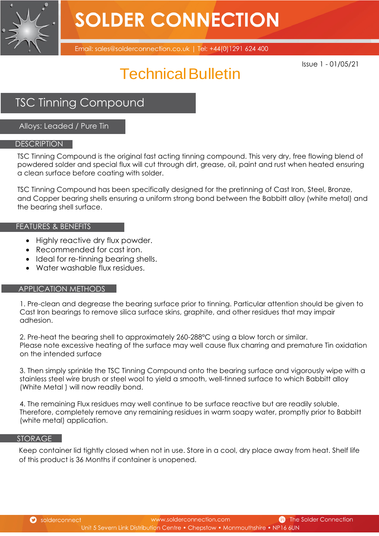

## **SOLDER CONNECTION**

Email: sales@solderconnection.co.uk | Tel: +44(0)1291 624 400

Issue 1 - 01/05/21

### Technical Bulletin

### TSC Tinning Compound

Alloys: Leaded / Pure Tin

#### **DESCRIPTION**

TSC Tinning Compound is the original fast acting tinning compound. This very dry, free flowing blend of powdered solder and special flux will cut through dirt, grease, oil, paint and rust when heated ensuring a clean surface before coating with solder.

TSC Tinning Compound has been specifically designed for the pretinning of Cast Iron, Steel, Bronze, and Copper bearing shells ensuring a uniform strong bond between the Babbitt alloy (white metal) and the bearing shell surface.

#### FEATURES & BENEFITS

- Highly reactive dry flux powder.
- Recommended for cast iron.
- Ideal for re-tinning bearing shells.
- Water washable flux residues.

#### APPLICATION METHODS

1. Pre-clean and degrease the bearing surface prior to tinning. Particular attention should be given to Cast Iron bearings to remove silica surface skins, graphite, and other residues that may impair adhesion.

2. Pre-heat the bearing shell to approximately 260-288°C using a blow torch or similar. Please note excessive heating of the surface may well cause flux charring and premature Tin oxidation on the intended surface

3. Then simply sprinkle the TSC Tinning Compound onto the bearing surface and vigorously wipe with a stainless steel wire brush or steel wool to yield a smooth, well-tinned surface to which Babbitt alloy (White Metal ) will now readily bond.

4. The remaining Flux residues may well continue to be surface reactive but are readily soluble. Therefore, completely remove any remaining residues in warm soapy water, promptly prior to Babbitt (white metal) application.

#### STORAGE

Keep container lid tightly closed when not in use. Store in a cool, dry place away from heat. Shelf life of this product is 36 Months if container is unopened.